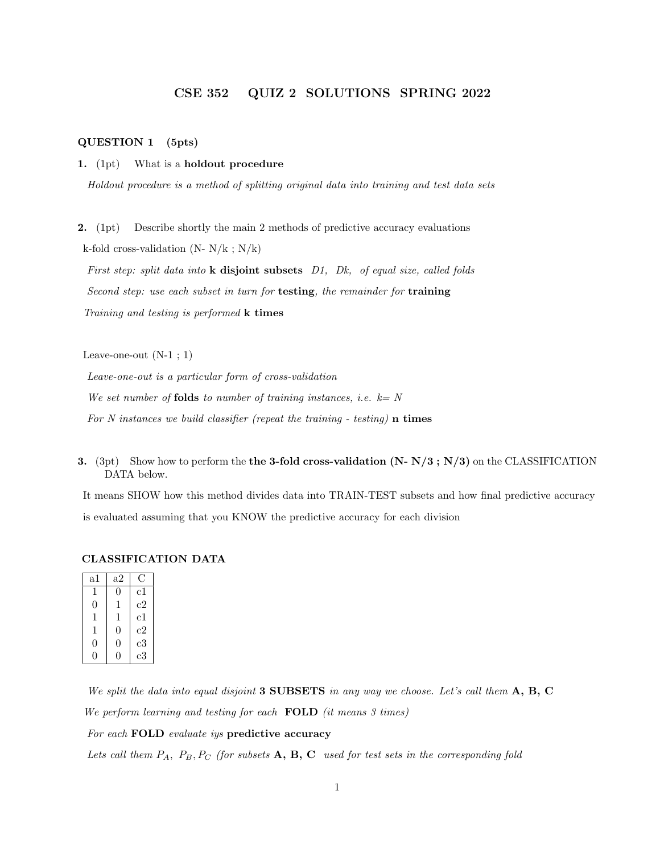## CSE 352 QUIZ 2 SOLUTIONS SPRING 2022

## QUESTION 1 (5pts)

1. (1pt) What is a holdout procedure

Holdout procedure is a method of splitting original data into training and test data sets

2. (1pt) Describe shortly the main 2 methods of predictive accuracy evaluations k-fold cross-validation  $(N-N/k; N/k)$ 

First step: split data into **k** disjoint subsets D1, Dk, of equal size, called folds Second step: use each subset in turn for testing, the remainder for training Training and testing is performed k times

Leave-one-out  $(N-1; 1)$ 

Leave-one-out is a particular form of cross-validation

We set number of **folds** to number of training instances, i.e.  $k = N$ 

For N instances we build classifier (repeat the training - testing)  $\bf{n}$  times

3. (3pt) Show how to perform the the 3-fold cross-validation  $(N-N/3; N/3)$  on the CLASSIFICATION DATA below.

It means SHOW how this method divides data into TRAIN-TEST subsets and how final predictive accuracy is evaluated assuming that you KNOW the predictive accuracy for each division

#### CLASSIFICATION DATA

| $^{\rm a1}$ | a2 |             |  |
|-------------|----|-------------|--|
| 1           | 0  | $_{\rm c1}$ |  |
| 0           | 1  | c2          |  |
| 1           | 1  | $_{\rm c1}$ |  |
| 1           | 0  | c2          |  |
| $\theta$    | 0  | $_{\rm c3}$ |  |
| O,          | IJ | c3          |  |

We split the data into equal disjoint 3 SUBSETS in any way we choose. Let's call them  $A, B, C$ We perform learning and testing for each  $\textbf{FOLD}$  (it means 3 times)

For each FOLD evaluate iys predictive accuracy

Lets call them  $P_A$ ,  $P_B$ ,  $P_C$  (for subsets  $\mathbf{A}$ ,  $\mathbf{B}$ ,  $\mathbf{C}$  used for test sets in the corresponding fold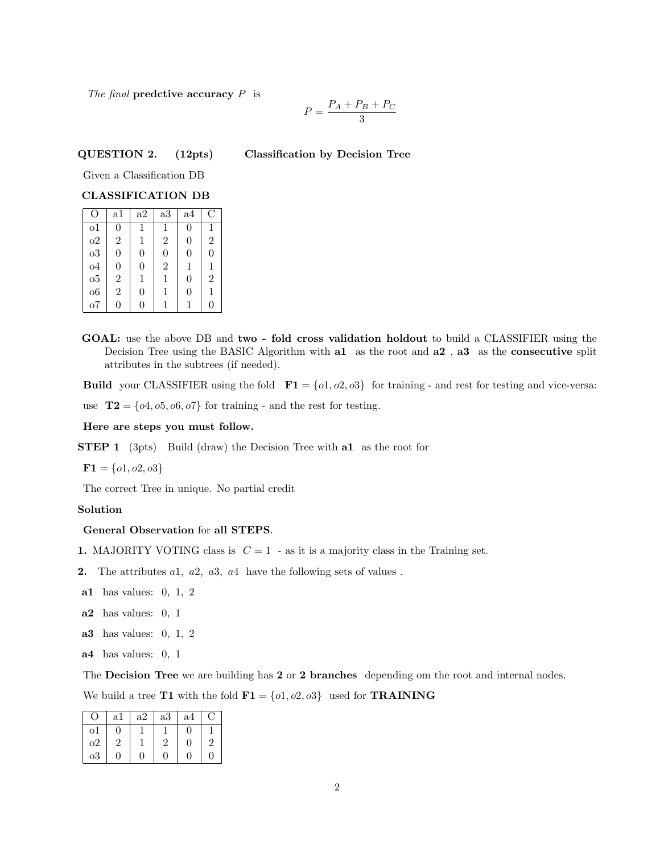The final predctive accuracy  $P$  is

$$
P = \frac{P_A + P_B + P_C}{3}
$$

# QUESTION 2. (12pts) Classification by Decision Tree

Given a Classification DB

## CLASSIFICATION DB

| O                     | a1             | a2               | a3             | a4             | C              |
|-----------------------|----------------|------------------|----------------|----------------|----------------|
| 01                    | 0              | 1                | 1              | 0              | 1              |
| 0 <sup>2</sup>        | $\overline{2}$ | 1                | $\overline{2}$ | 0              | $\overline{2}$ |
| $_{03}$               | 0              | $\boldsymbol{0}$ | $\overline{0}$ | 0              | $\overline{0}$ |
| $^{o4}$               | 0              | 0                | $\overline{2}$ | 1              | 1              |
| $\sigma$ <sup>5</sup> | $\overline{2}$ | 1                | 1              | $\overline{0}$ | $\overline{2}$ |
| 06                    | $\overline{2}$ | 0                | 1              | 0              | 1              |
| ο7                    | 0              | 0                |                | 1              | 0              |

GOAL: use the above DB and two - fold cross validation holdout to build a CLASSIFIER using the Decision Tree using the BASIC Algorithm with a1 as the root and a2, a3 as the consecutive split attributes in the subtrees (if needed).

Build your CLASSIFIER using the fold  $\mathbf{F1} = \{o1, o2, o3\}$  for training - and rest for testing and vice-versa:

use  $\mathbf{T2} = \{o4, o5, o6, o7\}$  for training - and the rest for testing.

Here are steps you must follow.

**STEP 1** (3pts) Build (draw) the Decision Tree with **a1** as the root for

 $$ 

The correct Tree in unique. No partial credit

## Solution

## General Observation for all STEPS.

- 1. MAJORITY VOTING class is  $C = 1$  as it is a majority class in the Training set.
- **2.** The attributes  $a_1$ ,  $a_2$ ,  $a_3$ ,  $a_4$  have the following sets of values.
- a1 has values: 0, 1, 2
- a2 has values: 0, 1
- a3 has values: 0, 1, 2
- a4 has values: 0, 1

The Decision Tree we are building has 2 or 2 branches depending om the root and internal nodes.

We build a tree **T1** with the fold  $\mathbf{F1} = \{o1, o2, o3\}$  used for **TRAINING** 

| $\Omega$    | a1       | a2 | a3 | a4       | ⊖              |
|-------------|----------|----|----|----------|----------------|
| o1          | $\theta$ |    |    | $\theta$ |                |
| $_{\rm o2}$ | 2        |    | 2  | $\theta$ | $\overline{2}$ |
| $_{\rm o3}$ | $\Omega$ | 0  | 0  | $\Omega$ | $\overline{0}$ |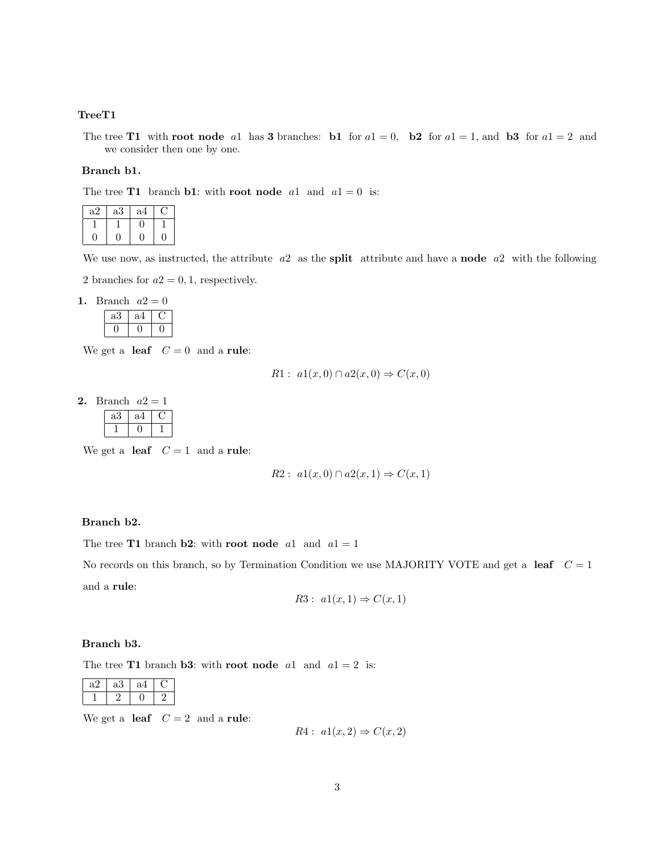## TreeT1

The tree T1 with root node a1 has 3 branches: b1 for  $a1 = 0$ , b2 for  $a1 = 1$ , and b3 for  $a1 = 2$  and we consider then one by one.

## Branch b1.

The tree **T1** branch **b1**: with **root node** a1 and  $a1 = 0$  is:

| a2 | a3 | a4 |  |
|----|----|----|--|
|    |    |    |  |
|    |    |    |  |

We use now, as instructed, the attribute  $a2$  as the **split** attribute and have a **node**  $a2$  with the following

2 branches for  $a2 = 0, 1$ , respectively.

1. Branch  $a2 = 0$ 

| aJ | a |  |
|----|---|--|
|    |   |  |

We get a **leaf**  $C = 0$  and a **rule**:

$$
R1: a1(x,0) \cap a2(x,0) \Rightarrow C(x,0)
$$

2. Branch  $a2 = 1$ 

| ,,,,,,,,, | $\sim$ |  |
|-----------|--------|--|
| a3        | a4     |  |
|           |        |  |

We get a **leaf**  $C = 1$  and a **rule**:

$$
R2: a1(x,0) \cap a2(x,1) \Rightarrow C(x,1)
$$

## Branch b2.

The tree **T1** branch **b2**: with **root node** a1 and  $a1 = 1$ 

No records on this branch, so by Termination Condition we use MAJORITY VOTE and get a leaf  $C = 1$ and a rule:

$$
R3: a1(x,1) \Rightarrow C(x,1)
$$

### Branch b3.

The tree **T1** branch **b3**: with **root node** a1 and  $a1 = 2$  is:

| aΖ | aЗ | a |  |
|----|----|---|--|
|    |    |   |  |

We get a **leaf**  $C = 2$  and a **rule**:

 $R4: a1(x,2) \Rightarrow C(x,2)$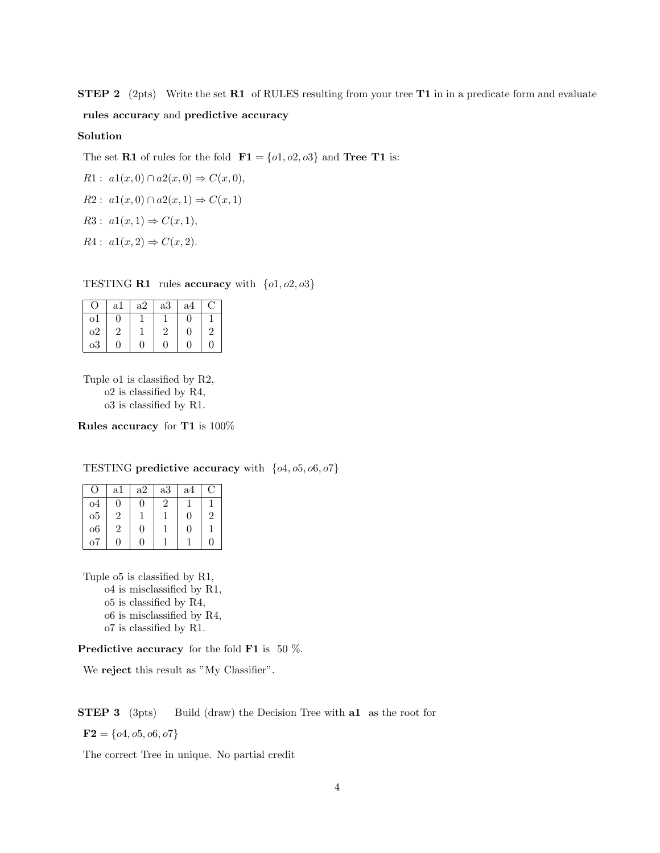STEP 2 (2pts) Write the set R1 of RULES resulting from your tree T1 in in a predicate form and evaluate rules accuracy and predictive accuracy

### Solution

The set **R1** of rules for the fold  $\mathbf{F1} = \{o1, o2, o3\}$  and **Tree T1** is:

R1: 
$$
a1(x, 0) \cap a2(x, 0) \Rightarrow C(x, 0),
$$
  
R2:  $a1(x, 0) \cap a2(x, 1) \Rightarrow C(x, 1)$ 

$$
R3: a1(x,1) \Rightarrow C(x,1),
$$

 $R4: a1(x, 2) \Rightarrow C(x, 2).$ 

TESTING **R1** rules accuracy with  $\{o1, o2, o3\}$ 

| $\left( \right)$ | a1 | a2       | a3       | a4 | C              |
|------------------|----|----------|----------|----|----------------|
| οĪ               | 0  |          |          | 0  |                |
| $_{\rm o2}$      | 2  |          | 2        | 0  | $\overline{2}$ |
| $_{\rm o3}$      | 0  | $\Omega$ | $\Omega$ | 0  | 0              |

Tuple o1 is classified by R2, o2 is classified by R4, o3 is classified by R1.

Rules accuracy for T1 is 100%

TESTING predictive accuracy with  $\{o4, o5, o6, o7\}$ 

| $\left( \ \right)$    | a1             | a2 | a3        | a4 | C) |
|-----------------------|----------------|----|-----------|----|----|
| 04                    | $\mathbf{0}$   | 0  | $\dot{2}$ |    |    |
| $\sigma$ <sup>5</sup> | $\overline{2}$ |    |           | 0  | 2  |
| $\overline{06}$       | 2              | 0  |           | 0  |    |
| ο7                    | ∩              | 0  |           |    | 0  |

Tuple o5 is classified by R1, o4 is misclassified by R1, o5 is classified by R4, o6 is misclassified by R4, o7 is classified by R1.

**Predictive accuracy** for the fold **F1** is 50  $\%$ .

We reject this result as "My Classifier".

### **STEP 3** (3pts) Build (draw) the Decision Tree with **a1** as the root for

 $$ 

The correct Tree in unique. No partial credit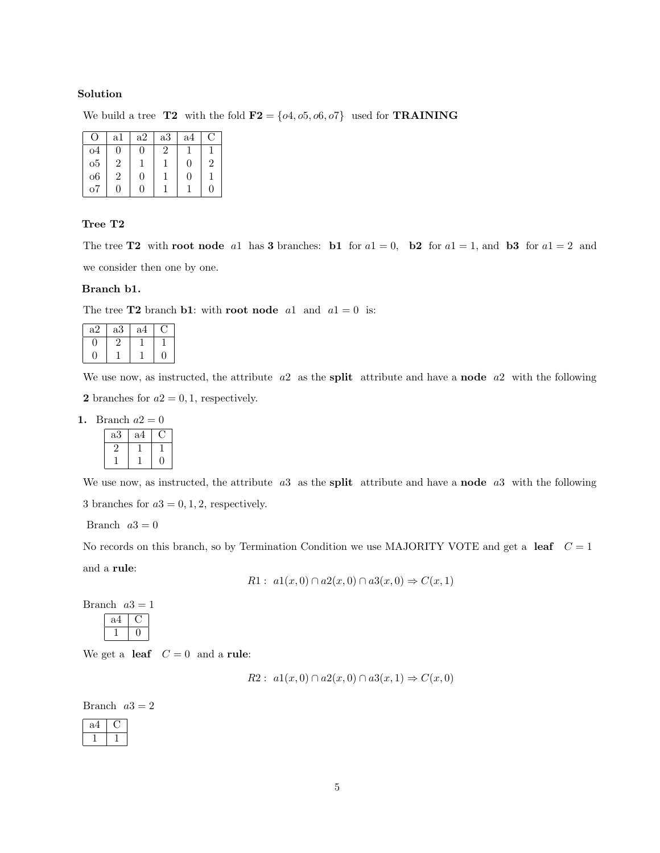## Solution

We build a tree T2 with the fold  $\mathbf{F2} = \{o4, o5, o6, o7\}$  used for **TRAINING** 

| 0               | al | a2 | a3             | a4       | €              |
|-----------------|----|----|----------------|----------|----------------|
| 04              | 0  | 0  | $\overline{2}$ |          |                |
| 05              | 2  |    |                | $\Omega$ | $\overline{2}$ |
| $\overline{06}$ | 2  | 0  |                | $\theta$ |                |
| ο7              | 0  | 0  |                |          | $\Omega$       |

## Tree T2

The tree T2 with root node all has 3 branches: b1 for  $a1 = 0$ , b2 for  $a1 = 1$ , and b3 for  $a1 = 2$  and we consider then one by one.

#### Branch b1.

The tree **T2** branch **b1**: with **root node** a1 and  $a1 = 0$  is:

| a2 | a3 | a4 |  |
|----|----|----|--|
|    |    |    |  |
|    |    |    |  |

We use now, as instructed, the attribute  $a2$  as the split attribute and have a node  $a2$  with the following

2 branches for  $a2 = 0, 1$ , respectively.

## 1. Branch  $a2 = 0$

| a3 | a4 |  |
|----|----|--|
|    |    |  |
|    |    |  |

We use now, as instructed, the attribute  $a3$  as the **split** attribute and have a **node**  $a3$  with the following 3 branches for  $a3 = 0, 1, 2$ , respectively.

Branch  $a3 = 0$ 

No records on this branch, so by Termination Condition we use MAJORITY VOTE and get a leaf  $C = 1$ and a rule:

$$
R1: a1(x,0) \cap a2(x,0) \cap a3(x,0) \Rightarrow C(x,1)
$$

Branch  $a3 = 1$ a4 C  $1 \mid 0$ 

We get a leaf  $C = 0$  and a rule:

$$
R2: a1(x,0) \cap a2(x,0) \cap a3(x,1) \Rightarrow C(x,0)
$$

Branch  $a3 = 2$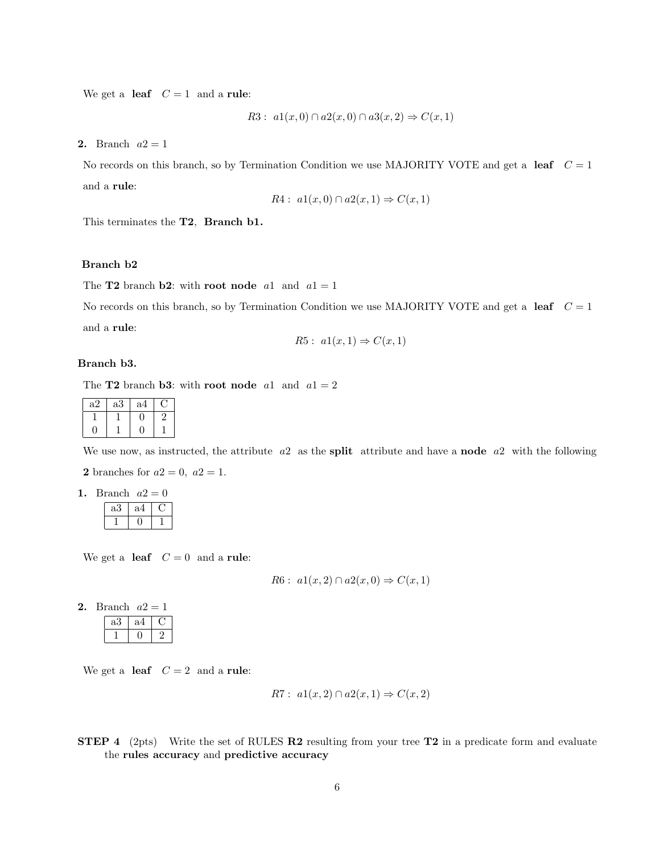We get a leaf  $C = 1$  and a rule:

$$
R3: a1(x,0) \cap a2(x,0) \cap a3(x,2) \Rightarrow C(x,1)
$$

2. Branch  $a2 = 1$ 

No records on this branch, so by Termination Condition we use MAJORITY VOTE and get a leaf  $C = 1$ and a rule:

$$
R4: a1(x,0) \cap a2(x,1) \Rightarrow C(x,1)
$$

This terminates the T2, Branch b1.

### Branch b2

The **T2** branch **b2**: with **root node** a1 and  $a1 = 1$ 

No records on this branch, so by Termination Condition we use MAJORITY VOTE and get a leaf  $C = 1$ and a rule:

$$
R5: a1(x,1) \Rightarrow C(x,1)
$$

#### Branch b3.

The **T2** branch **b3**: with **root node** a1 and  $a1 = 2$ 

| a2 | aЗ | a4 |   |
|----|----|----|---|
|    |    |    | △ |
|    |    |    |   |

We use now, as instructed, the attribute  $a2$  as the split attribute and have a node  $a2$  with the following

2 branches for  $a2 = 0$ ,  $a2 = 1$ .

| Branch $a2$ |  |
|-------------|--|
|             |  |

| a |  |
|---|--|
|   |  |

We get a **leaf**  $C = 0$  and a **rule**:

$$
R6: a1(x,2) \cap a2(x,0) \Rightarrow C(x,1)
$$

2. Branch  $a2 = 1$ 

| a | c |  |
|---|---|--|
|   |   |  |

We get a leaf  $C = 2$  and a rule:

$$
R7: a1(x,2) \cap a2(x,1) \Rightarrow C(x,2)
$$

STEP 4 (2pts) Write the set of RULES R2 resulting from your tree T2 in a predicate form and evaluate the rules accuracy and predictive accuracy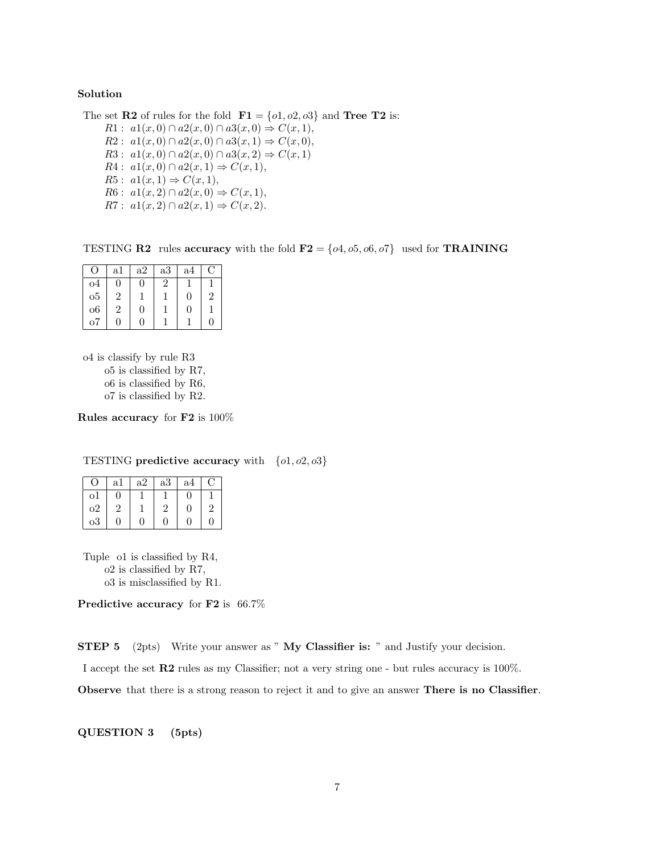## Solution

The set **R2** of rules for the fold  $\mathbf{F1} = \{o1, o2, o3\}$  and **Tree T2** is:

 $R1: a1(x,0) \cap a2(x,0) \cap a3(x,0) \Rightarrow C(x,1),$  $R2: a1(x, 0) \cap a2(x, 0) \cap a3(x, 1) \Rightarrow C(x, 0),$  $R3: a1(x,0) \cap a2(x,0) \cap a3(x,2) \Rightarrow C(x,1)$  $R4: a1(x, 0) \cap a2(x, 1) \Rightarrow C(x, 1),$  $R5: a1(x,1) \Rightarrow C(x,1),$  $R6: a1(x, 2) \cap a2(x, 0) \Rightarrow C(x, 1),$  $R7: a1(x, 2) \cap a2(x, 1) \Rightarrow C(x, 2).$ 

TESTING **R2** rules accuracy with the fold  $\mathbf{F2} = \{o4, o5, o6, o7\}$  used for **TRAINING** 

| $\left( \right)$ | a1 | a2 | a3             | a4 | €              |
|------------------|----|----|----------------|----|----------------|
| 04               | 0  | 0  | $\overline{2}$ |    |                |
| 0 <sub>5</sub>   | 2  |    |                | 0  | $\overline{2}$ |
| 06               | 2  | 0  |                | 0  |                |
| 07               | 0  | 0  |                |    | 0              |

o4 is classify by rule R3

o5 is classified by R7, o6 is classified by R6, o7 is classified by R2.

Rules accuracy for F2 is 100%

TESTING predictive accuracy with  ${o1, o2, o3}$ 

| $\left( \right)$ | a1 | a2 | a3       | a4           | τĴ |
|------------------|----|----|----------|--------------|----|
| $\Omega$         | 0  |    |          | 0            |    |
| o2               | 2  |    | റ        | $\mathbf{0}$ |    |
| $_{\rm o3}$      | 0  | 0  | $\Omega$ | 0            | 0  |

Tuple o1 is classified by R4, o2 is classified by R7, o3 is misclassified by R1.

Predictive accuracy for F2 is 66.7%

STEP 5 (2pts) Write your answer as " My Classifier is: " and Justify your decision.

I accept the set R2 rules as my Classifier; not a very string one - but rules accuracy is 100%.

Observe that there is a strong reason to reject it and to give an answer There is no Classifier.

QUESTION 3 (5pts)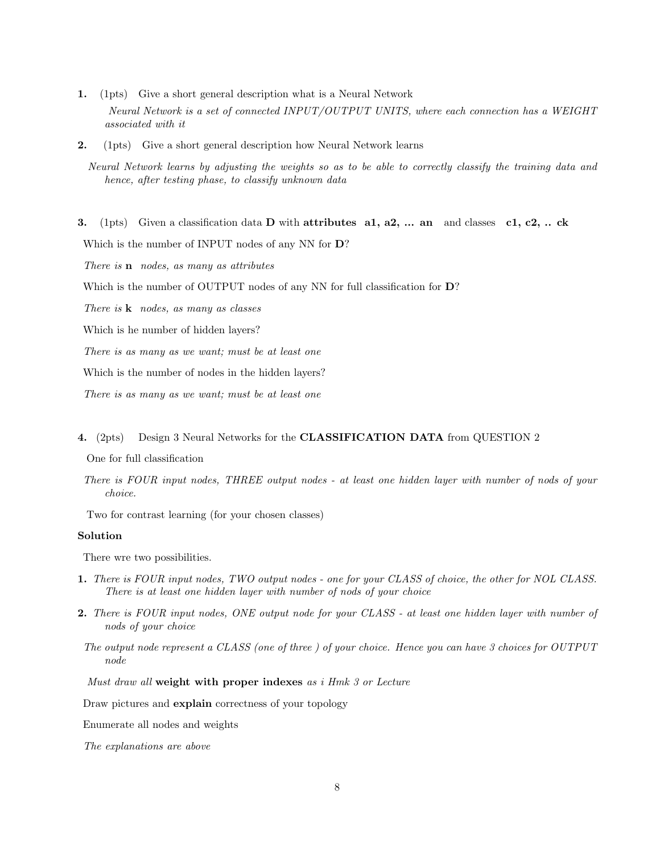- 1. (1pts) Give a short general description what is a Neural Network Neural Network is a set of connected INPUT/OUTPUT UNITS, where each connection has a WEIGHT associated with it
- 2. (1pts) Give a short general description how Neural Network learns

Neural Network learns by adjusting the weights so as to be able to correctly classify the training data and hence, after testing phase, to classify unknown data

3. (1pts) Given a classification data D with attributes a1, a2, ... an and classes c1, c2, .. ck

Which is the number of INPUT nodes of any NN for D?

There is **n** nodes, as many as attributes

Which is the number of OUTPUT nodes of any NN for full classification for  $D$ ?

There is  $k$  nodes, as many as classes

Which is he number of hidden layers?

There is as many as we want; must be at least one

Which is the number of nodes in the hidden layers?

There is as many as we want; must be at least one

#### 4. (2pts) Design 3 Neural Networks for the CLASSIFICATION DATA from QUESTION 2

One for full classification

There is FOUR input nodes, THREE output nodes - at least one hidden layer with number of nods of your choice.

Two for contrast learning (for your chosen classes)

#### Solution

There wre two possibilities.

- 1. There is FOUR input nodes, TWO output nodes one for your CLASS of choice, the other for NOL CLASS. There is at least one hidden layer with number of nods of your choice
- 2. There is FOUR input nodes, ONE output node for your CLASS at least one hidden layer with number of nods of your choice
- The output node represent a CLASS (one of three ) of your choice. Hence you can have 3 choices for OUTPUT node

Must draw all weight with proper indexes as i Hmk 3 or Lecture

Draw pictures and explain correctness of your topology

Enumerate all nodes and weights

The explanations are above